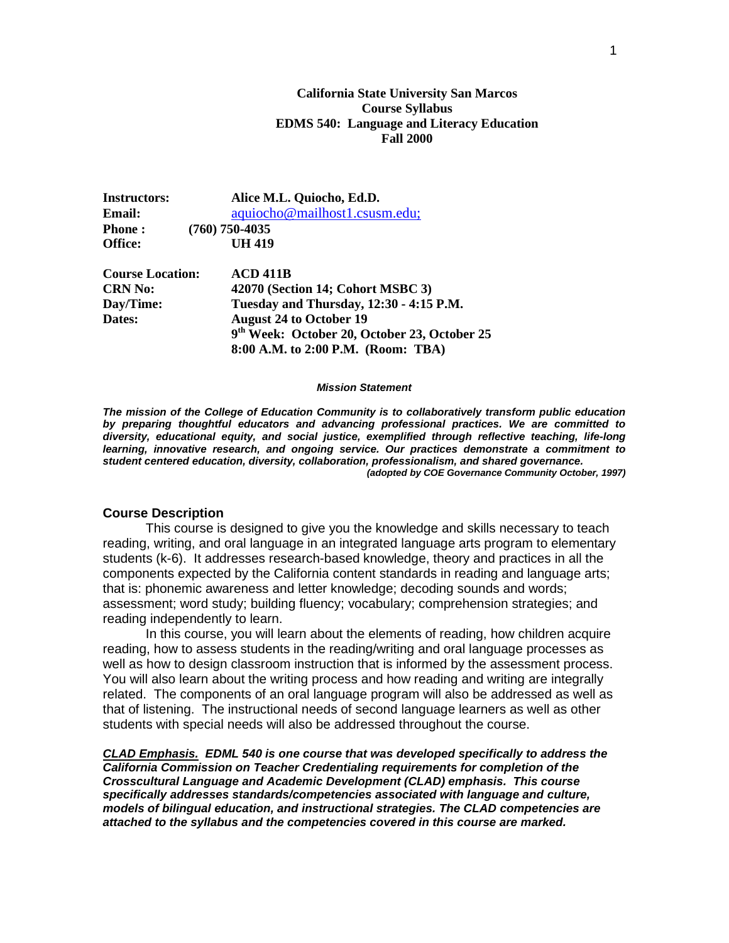#### **California State University San Marcos Course Syllabus EDMS 540: Language and Literacy Education Fall 2000**

**Instructors: Alice M.L. Quiocho, Ed.D. Email:**  $aquiocho@mailhost1.csusm.edu;$ **Phone : (760) 750-4035 Office: UH 419**

**Course Location: ACD 411B CRN No: 42070 (Section 14; Cohort MSBC 3) Day/Time: Tuesday and Thursday, 12:30 - 4:15 P.M. Dates: August 24 to October 19 9th Week: October 20, October 23, October 25 8:00 A.M. to 2:00 P.M. (Room: TBA)**

#### *Mission Statement*

*The mission of the College of Education Community is to collaboratively transform public education by preparing thoughtful educators and advancing professional practices. We are committed to diversity, educational equity, and social justice, exemplified through reflective teaching, life-long learning, innovative research, and ongoing service. Our practices demonstrate a commitment to student centered education, diversity, collaboration, professionalism, and shared governance. (adopted by COE Governance Community October, 1997)*

#### **Course Description**

This course is designed to give you the knowledge and skills necessary to teach reading, writing, and oral language in an integrated language arts program to elementary students (k-6). It addresses research-based knowledge, theory and practices in all the components expected by the California content standards in reading and language arts; that is: phonemic awareness and letter knowledge; decoding sounds and words; assessment; word study; building fluency; vocabulary; comprehension strategies; and reading independently to learn.

In this course, you will learn about the elements of reading, how children acquire reading, how to assess students in the reading/writing and oral language processes as well as how to design classroom instruction that is informed by the assessment process. You will also learn about the writing process and how reading and writing are integrally related. The components of an oral language program will also be addressed as well as that of listening. The instructional needs of second language learners as well as other students with special needs will also be addressed throughout the course.

*CLAD Emphasis. EDML 540 is one course that was developed specifically to address the California Commission on Teacher Credentialing requirements for completion of the Crosscultural Language and Academic Development (CLAD) emphasis. This course specifically addresses standards/competencies associated with language and culture, models of bilingual education, and instructional strategies. The CLAD competencies are attached to the syllabus and the competencies covered in this course are marked.*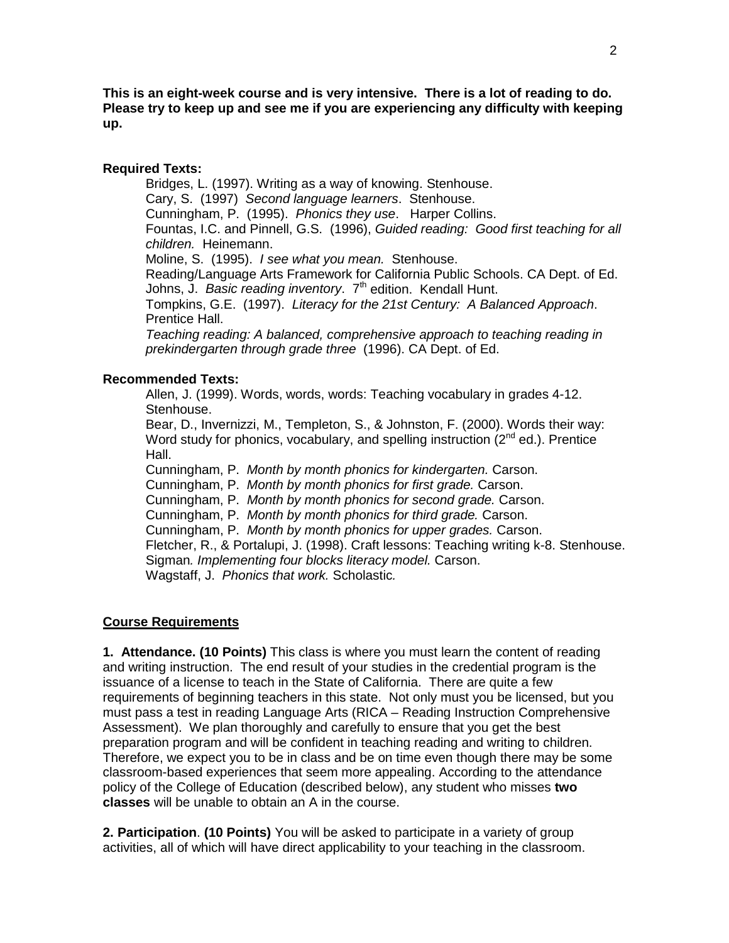**This is an eight-week course and is very intensive. There is a lot of reading to do. Please try to keep up and see me if you are experiencing any difficulty with keeping up.**

# **Required Texts:**

Bridges, L. (1997). Writing as a way of knowing. Stenhouse. Cary, S. (1997) *Second language learners*. Stenhouse. Cunningham, P. (1995). *Phonics they use*. Harper Collins. Fountas, I.C. and Pinnell, G.S. (1996), *Guided reading: Good first teaching for all children.* Heinemann. Moline, S. (1995). *I see what you mean.* Stenhouse. Reading/Language Arts Framework for California Public Schools. CA Dept. of Ed. Johns, J. *Basic reading inventory*. 7<sup>th</sup> edition. Kendall Hunt. Tompkins, G.E. (1997). *Literacy for the 21st Century: A Balanced Approach*.

Prentice Hall.

*Teaching reading: A balanced, comprehensive approach to teaching reading in prekindergarten through grade three* (1996). CA Dept. of Ed.

# **Recommended Texts:**

Allen, J. (1999). Words, words, words: Teaching vocabulary in grades 4-12. Stenhouse.

Bear, D., Invernizzi, M., Templeton, S., & Johnston, F. (2000). Words their way: Word study for phonics, vocabulary, and spelling instruction  $(2^{nd}$  ed.). Prentice Hall.

Cunningham, P. *Month by month phonics for kindergarten.* Carson.

Cunningham, P. *Month by month phonics for first grade.* Carson.

Cunningham, P. *Month by month phonics for second grade.* Carson.

Cunningham, P. *Month by month phonics for third grade.* Carson.

Cunningham, P. *Month by month phonics for upper grades.* Carson.

Fletcher, R., & Portalupi, J. (1998). Craft lessons: Teaching writing k-8. Stenhouse. Sigman*. Implementing four blocks literacy model.* Carson. Wagstaff, J. *Phonics that work.* Scholastic*.*

# **Course Requirements**

**1. Attendance. (10 Points)** This class is where you must learn the content of reading and writing instruction. The end result of your studies in the credential program is the issuance of a license to teach in the State of California. There are quite a few requirements of beginning teachers in this state. Not only must you be licensed, but you must pass a test in reading Language Arts (RICA – Reading Instruction Comprehensive Assessment). We plan thoroughly and carefully to ensure that you get the best preparation program and will be confident in teaching reading and writing to children. Therefore, we expect you to be in class and be on time even though there may be some classroom-based experiences that seem more appealing. According to the attendance policy of the College of Education (described below), any student who misses **two classes** will be unable to obtain an A in the course.

**2. Participation**. **(10 Points)** You will be asked to participate in a variety of group activities, all of which will have direct applicability to your teaching in the classroom.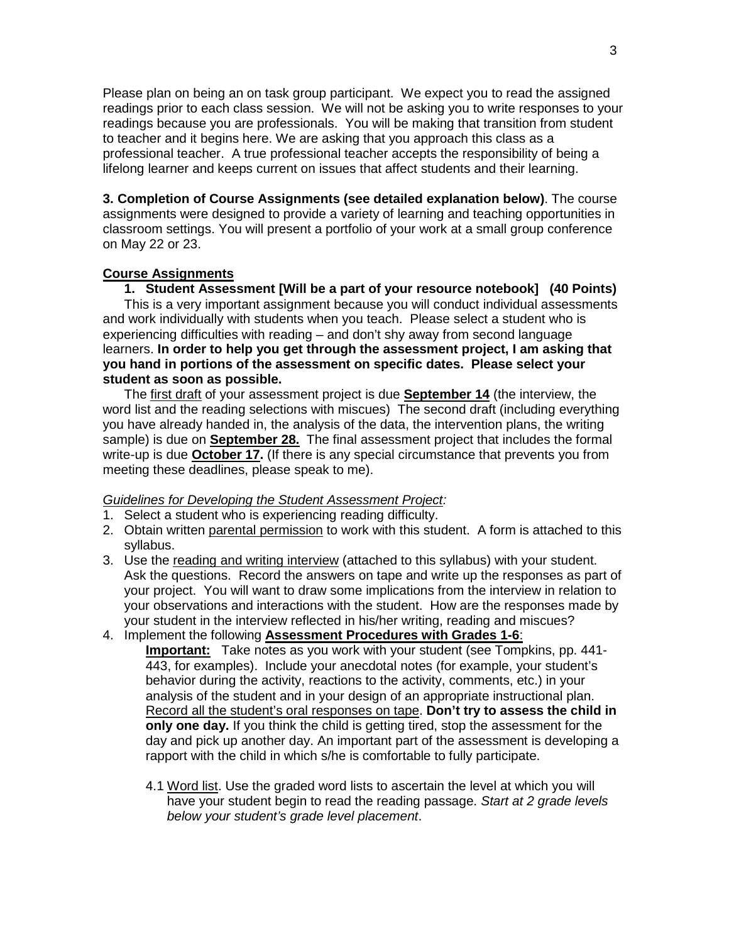Please plan on being an on task group participant.We expect you to read the assigned readings prior to each class session. We will not be asking you to write responses to your readings because you are professionals. You will be making that transition from student to teacher and it begins here. We are asking that you approach this class as a professional teacher. A true professional teacher accepts the responsibility of being a lifelong learner and keeps current on issues that affect students and their learning.

**3. Completion of Course Assignments (see detailed explanation below)**. The course assignments were designed to provide a variety of learning and teaching opportunities in classroom settings. You will present a portfolio of your work at a small group conference on May 22 or 23.

# **Course Assignments**

**1. Student Assessment [Will be a part of your resource notebook] (40 Points)**  This is a very important assignment because you will conduct individual assessments and work individually with students when you teach. Please select a student who is experiencing difficulties with reading – and don't shy away from second language learners. **In order to help you get through the assessment project, I am asking that you hand in portions of the assessment on specific dates. Please select your student as soon as possible.**

The first draft of your assessment project is due **September 14** (the interview, the word list and the reading selections with miscues) The second draft (including everything you have already handed in, the analysis of the data, the intervention plans, the writing sample) is due on **September 28.** The final assessment project that includes the formal write-up is due **October 17.** (If there is any special circumstance that prevents you from meeting these deadlines, please speak to me).

# *Guidelines for Developing the Student Assessment Project:*

- 1. Select a student who is experiencing reading difficulty.
- 2. Obtain written parental permission to work with this student. A form is attached to this syllabus.
- 3. Use the reading and writing interview (attached to this syllabus) with your student. Ask the questions. Record the answers on tape and write up the responses as part of your project. You will want to draw some implications from the interview in relation to your observations and interactions with the student. How are the responses made by your student in the interview reflected in his/her writing, reading and miscues?

# 4. Implement the following **Assessment Procedures with Grades 1-6**:

- **Important:** Take notes as you work with your student (see Tompkins, pp. 441- 443, for examples). Include your anecdotal notes (for example, your student's behavior during the activity, reactions to the activity, comments, etc.) in your analysis of the student and in your design of an appropriate instructional plan. Record all the student's oral responses on tape. **Don't try to assess the child in only one day.** If you think the child is getting tired, stop the assessment for the day and pick up another day. An important part of the assessment is developing a rapport with the child in which s/he is comfortable to fully participate.
	- 4.1 Word list. Use the graded word lists to ascertain the level at which you will have your student begin to read the reading passage. *Start at 2 grade levels below your student's grade level placement*.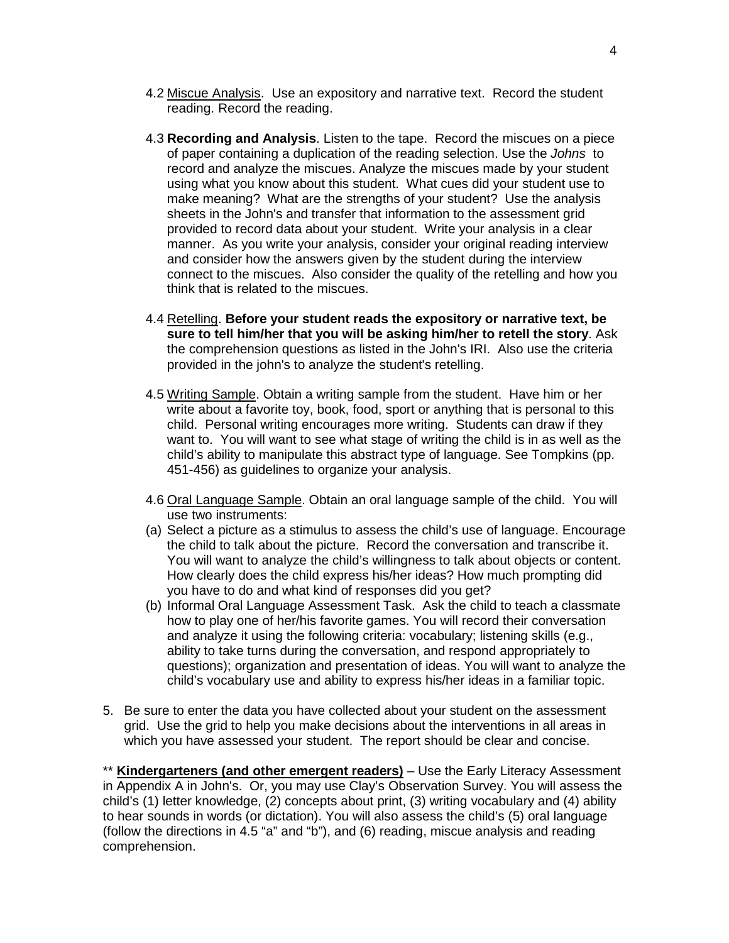- 4.2 Miscue Analysis. Use an expository and narrative text. Record the student reading. Record the reading.
- 4.3 **Recording and Analysis**. Listen to the tape. Record the miscues on a piece of paper containing a duplication of the reading selection. Use the *Johns* to record and analyze the miscues. Analyze the miscues made by your student using what you know about this student. What cues did your student use to make meaning? What are the strengths of your student? Use the analysis sheets in the John's and transfer that information to the assessment grid provided to record data about your student. Write your analysis in a clear manner. As you write your analysis, consider your original reading interview and consider how the answers given by the student during the interview connect to the miscues. Also consider the quality of the retelling and how you think that is related to the miscues.
- 4.4 Retelling. **Before your student reads the expository or narrative text, be sure to tell him/her that you will be asking him/her to retell the story**. Ask the comprehension questions as listed in the John's IRI. Also use the criteria provided in the john's to analyze the student's retelling.
- 4.5 Writing Sample. Obtain a writing sample from the student. Have him or her write about a favorite toy, book, food, sport or anything that is personal to this child. Personal writing encourages more writing. Students can draw if they want to. You will want to see what stage of writing the child is in as well as the child's ability to manipulate this abstract type of language. See Tompkins (pp. 451-456) as guidelines to organize your analysis.
- 4.6 Oral Language Sample. Obtain an oral language sample of the child. You will use two instruments:
- (a) Select a picture as a stimulus to assess the child's use of language. Encourage the child to talk about the picture. Record the conversation and transcribe it. You will want to analyze the child's willingness to talk about objects or content. How clearly does the child express his/her ideas? How much prompting did you have to do and what kind of responses did you get?
- (b) Informal Oral Language Assessment Task. Ask the child to teach a classmate how to play one of her/his favorite games. You will record their conversation and analyze it using the following criteria: vocabulary; listening skills (e.g., ability to take turns during the conversation, and respond appropriately to questions); organization and presentation of ideas. You will want to analyze the child's vocabulary use and ability to express his/her ideas in a familiar topic.
- 5. Be sure to enter the data you have collected about your student on the assessment grid. Use the grid to help you make decisions about the interventions in all areas in which you have assessed your student. The report should be clear and concise.

\*\* **Kindergarteners (and other emergent readers)** – Use the Early Literacy Assessment in Appendix A in John's. Or, you may use Clay's Observation Survey. You will assess the child's (1) letter knowledge, (2) concepts about print, (3) writing vocabulary and (4) ability to hear sounds in words (or dictation). You will also assess the child's (5) oral language (follow the directions in 4.5 "a" and "b"), and (6) reading, miscue analysis and reading comprehension.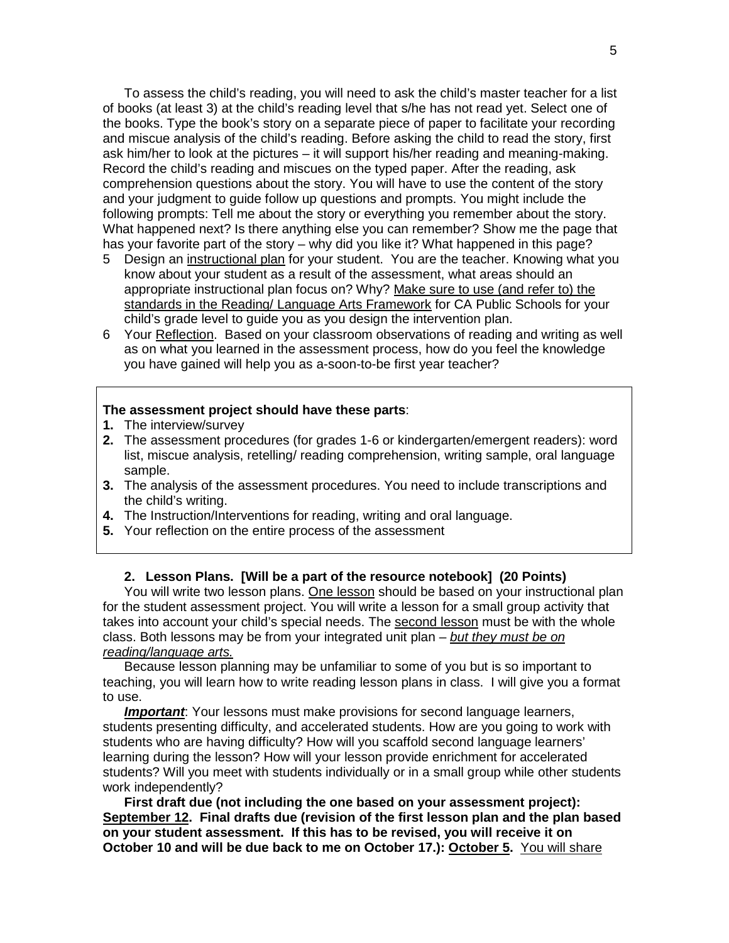To assess the child's reading, you will need to ask the child's master teacher for a list of books (at least 3) at the child's reading level that s/he has not read yet. Select one of the books. Type the book's story on a separate piece of paper to facilitate your recording and miscue analysis of the child's reading. Before asking the child to read the story, first ask him/her to look at the pictures – it will support his/her reading and meaning-making. Record the child's reading and miscues on the typed paper. After the reading, ask comprehension questions about the story. You will have to use the content of the story and your judgment to guide follow up questions and prompts. You might include the following prompts: Tell me about the story or everything you remember about the story. What happened next? Is there anything else you can remember? Show me the page that has your favorite part of the story – why did you like it? What happened in this page?

- 5 Design an instructional plan for your student. You are the teacher. Knowing what you know about your student as a result of the assessment, what areas should an appropriate instructional plan focus on? Why? Make sure to use (and refer to) the standards in the Reading/ Language Arts Framework for CA Public Schools for your child's grade level to guide you as you design the intervention plan.
- 6 Your Reflection. Based on your classroom observations of reading and writing as well as on what you learned in the assessment process, how do you feel the knowledge you have gained will help you as a-soon-to-be first year teacher?

#### **The assessment project should have these parts**:

- **1.** The interview/survey
- **2.** The assessment procedures (for grades 1-6 or kindergarten/emergent readers): word list, miscue analysis, retelling/ reading comprehension, writing sample, oral language sample.
- **3.** The analysis of the assessment procedures. You need to include transcriptions and the child's writing.
- **4.** The Instruction/Interventions for reading, writing and oral language.
- **5.** Your reflection on the entire process of the assessment

## **2. Lesson Plans. [Will be a part of the resource notebook] (20 Points)**

You will write two lesson plans. One lesson should be based on your instructional plan for the student assessment project. You will write a lesson for a small group activity that takes into account your child's special needs. The second lesson must be with the whole class. Both lessons may be from your integrated unit plan – *but they must be on reading/language arts.*

Because lesson planning may be unfamiliar to some of you but is so important to teaching, you will learn how to write reading lesson plans in class. I will give you a format to use.

*Important*: Your lessons must make provisions for second language learners, students presenting difficulty, and accelerated students. How are you going to work with students who are having difficulty? How will you scaffold second language learners' learning during the lesson? How will your lesson provide enrichment for accelerated students? Will you meet with students individually or in a small group while other students work independently?

**First draft due (not including the one based on your assessment project): September 12. Final drafts due (revision of the first lesson plan and the plan based on your student assessment. If this has to be revised, you will receive it on October 10 and will be due back to me on October 17.): October 5.** You will share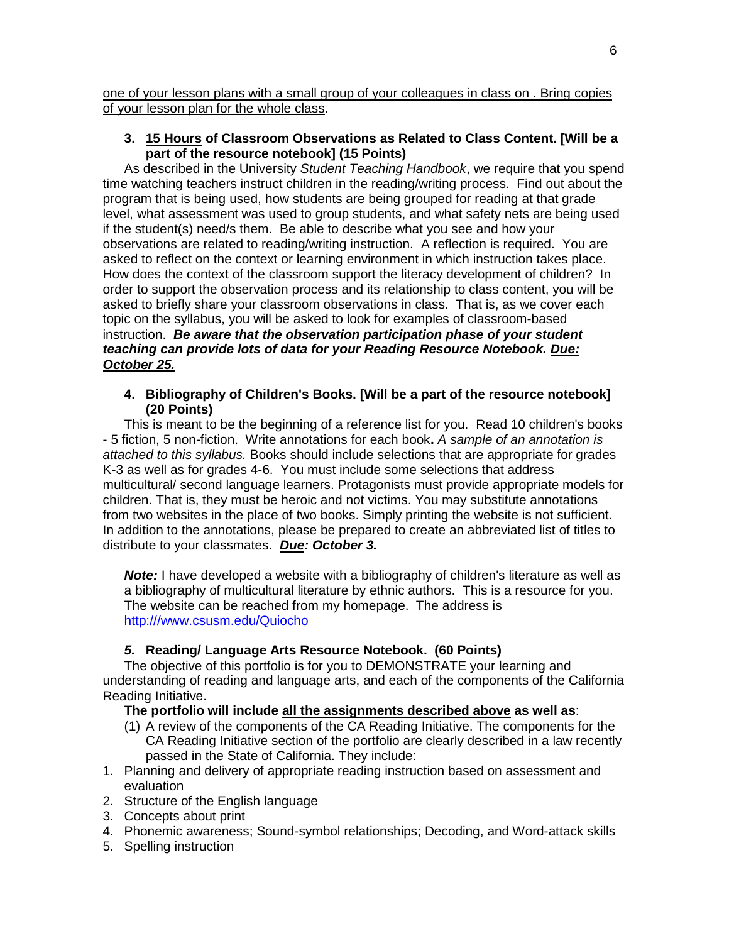one of your lesson plans with a small group of your colleagues in class on . Bring copies of your lesson plan for the whole class.

# **3. 15 Hours of Classroom Observations as Related to Class Content. [Will be a part of the resource notebook] (15 Points)**

As described in the University *Student Teaching Handbook*, we require that you spend time watching teachers instruct children in the reading/writing process. Find out about the program that is being used, how students are being grouped for reading at that grade level, what assessment was used to group students, and what safety nets are being used if the student(s) need/s them. Be able to describe what you see and how your observations are related to reading/writing instruction.A reflection is required. You are asked to reflect on the context or learning environment in which instruction takes place. How does the context of the classroom support the literacy development of children? In order to support the observation process and its relationship to class content, you will be asked to briefly share your classroom observations in class. That is, as we cover each topic on the syllabus, you will be asked to look for examples of classroom-based instruction. *Be aware that the observation participation phase of your student teaching can provide lots of data for your Reading Resource Notebook. Due: October 25.*

## **4. Bibliography of Children's Books. [Will be a part of the resource notebook] (20 Points)**

This is meant to be the beginning of a reference list for you. Read 10 children's books - 5 fiction, 5 non-fiction. Write annotations for each book**.** *A sample of an annotation is attached to this syllabus.* Books should include selections that are appropriate for grades K-3 as well as for grades 4-6. You must include some selections that address multicultural/ second language learners. Protagonists must provide appropriate models for children. That is, they must be heroic and not victims. You may substitute annotations from two websites in the place of two books. Simply printing the website is not sufficient. In addition to the annotations, please be prepared to create an abbreviated list of titles to distribute to your classmates. *Due: October 3.* 

**Note:** I have developed a website with a bibliography of children's literature as well as a bibliography of multicultural literature by ethnic authors. This is a resource for you. The website can be reached from my homepage. The address is [http:///www.csusm.edu/Quiocho](http://www.csusm.edu/Quiocho)

# *5.* **Reading/ Language Arts Resource Notebook. (60 Points)**

The objective of this portfolio is for you to DEMONSTRATE your learning and understanding of reading and language arts, and each of the components of the California Reading Initiative.

### **The portfolio will include all the assignments described above as well as**:

- (1) A review of the components of the CA Reading Initiative. The components for the CA Reading Initiative section of the portfolio are clearly described in a law recently passed in the State of California. They include:
- 1. Planning and delivery of appropriate reading instruction based on assessment and evaluation
- 2. Structure of the English language
- 3. Concepts about print
- 4. Phonemic awareness; Sound-symbol relationships; Decoding, and Word-attack skills
- 5. Spelling instruction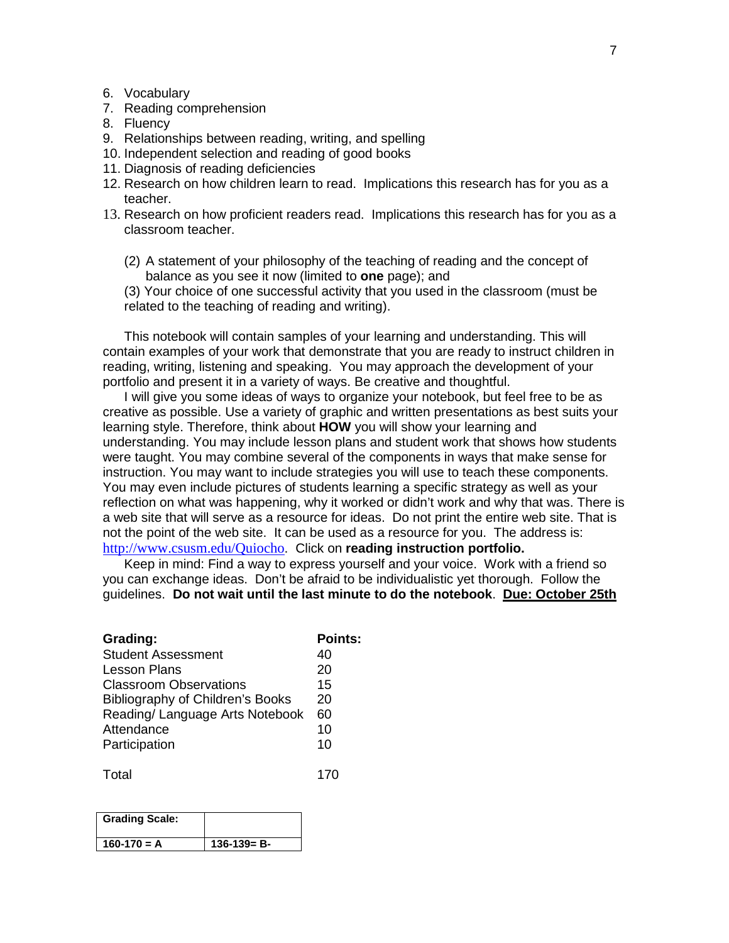#### 6. Vocabulary

- 7. Reading comprehension
- 8. Fluency
- 9. Relationships between reading, writing, and spelling
- 10. Independent selection and reading of good books
- 11. Diagnosis of reading deficiencies
- 12. Research on how children learn to read. Implications this research has for you as a teacher.
- 13. Research on how proficient readers read. Implications this research has for you as a classroom teacher.
	- (2) A statement of your philosophy of the teaching of reading and the concept of balance as you see it now (limited to **one** page); and

(3) Your choice of one successful activity that you used in the classroom (must be related to the teaching of reading and writing).

This notebook will contain samples of your learning and understanding. This will contain examples of your work that demonstrate that you are ready to instruct children in reading, writing, listening and speaking.You may approach the development of your portfolio and present it in a variety of ways. Be creative and thoughtful.

I will give you some ideas of ways to organize your notebook, but feel free to be as creative as possible. Use a variety of graphic and written presentations as best suits your learning style. Therefore, think about **HOW** you will show your learning and understanding. You may include lesson plans and student work that shows how students were taught. You may combine several of the components in ways that make sense for instruction. You may want to include strategies you will use to teach these components. You may even include pictures of students learning a specific strategy as well as your reflection on what was happening, why it worked or didn't work and why that was. There is a web site that will serve as a resource for ideas. Do not print the entire web site. That is not the point of the web site. It can be used as a resource for you. The address is: <http://www.csusm.edu/Quiocho>. Click on **reading instruction portfolio.**

Keep in mind: Find a way to express yourself and your voice. Work with a friend so you can exchange ideas. Don't be afraid to be individualistic yet thorough. Follow the guidelines. **Do not wait until the last minute to do the notebook**. **Due: October 25th**

| Grading:                         | <b>Points:</b> |
|----------------------------------|----------------|
| <b>Student Assessment</b>        | 40             |
| <b>Lesson Plans</b>              | 20             |
| <b>Classroom Observations</b>    | 15             |
| Bibliography of Children's Books | 20             |
| Reading/ Language Arts Notebook  | 60             |
| Attendance                       | 10             |
| Participation                    | 10             |
|                                  |                |

Total 170

| <b>Grading Scale:</b> |                   |
|-----------------------|-------------------|
| $160-170 = A$         | $136 - 139 = B -$ |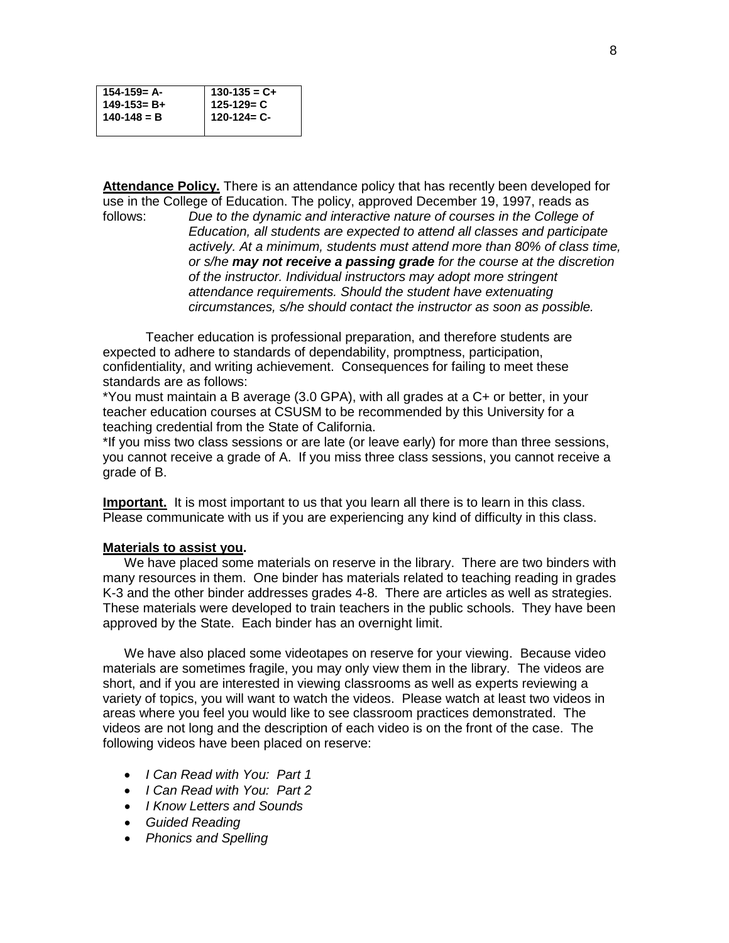| $154 - 159 = A -$ |                                             |
|-------------------|---------------------------------------------|
| $149 - 153 = B +$ |                                             |
| $140 - 148 = B$   | $130-135 = C+$<br>125-129= C<br>120-124= C- |
|                   |                                             |

**Attendance Policy.** There is an attendance policy that has recently been developed for

use in the College of Education. The policy, approved December 19, 1997, reads as follows:<br>follows: Due to the dynamic and interactive nature of courses in the College of Due to the dynamic and interactive nature of courses in the College of *Education, all students are expected to attend all classes and participate actively. At a minimum, students must attend more than 80% of class time, or s/he may not receive a passing grade for the course at the discretion of the instructor. Individual instructors may adopt more stringent attendance requirements. Should the student have extenuating circumstances, s/he should contact the instructor as soon as possible.*

Teacher education is professional preparation, and therefore students are expected to adhere to standards of dependability, promptness, participation, confidentiality, and writing achievement. Consequences for failing to meet these standards are as follows:

\*You must maintain a B average (3.0 GPA), with all grades at a C+ or better, in your teacher education courses at CSUSM to be recommended by this University for a teaching credential from the State of California.

\*If you miss two class sessions or are late (or leave early) for more than three sessions, you cannot receive a grade of A. If you miss three class sessions, you cannot receive a grade of B.

**Important.** It is most important to us that you learn all there is to learn in this class. Please communicate with us if you are experiencing any kind of difficulty in this class.

#### **Materials to assist you.**

We have placed some materials on reserve in the library. There are two binders with many resources in them. One binder has materials related to teaching reading in grades K-3 and the other binder addresses grades 4-8. There are articles as well as strategies. These materials were developed to train teachers in the public schools. They have been approved by the State. Each binder has an overnight limit.

We have also placed some videotapes on reserve for your viewing. Because video materials are sometimes fragile, you may only view them in the library. The videos are short, and if you are interested in viewing classrooms as well as experts reviewing a variety of topics, you will want to watch the videos. Please watch at least two videos in areas where you feel you would like to see classroom practices demonstrated. The videos are not long and the description of each video is on the front of the case. The following videos have been placed on reserve:

- *I Can Read with You: Part 1*
- *I Can Read with You: Part 2*
- *I Know Letters and Sounds*
- *Guided Reading*
- *Phonics and Spelling*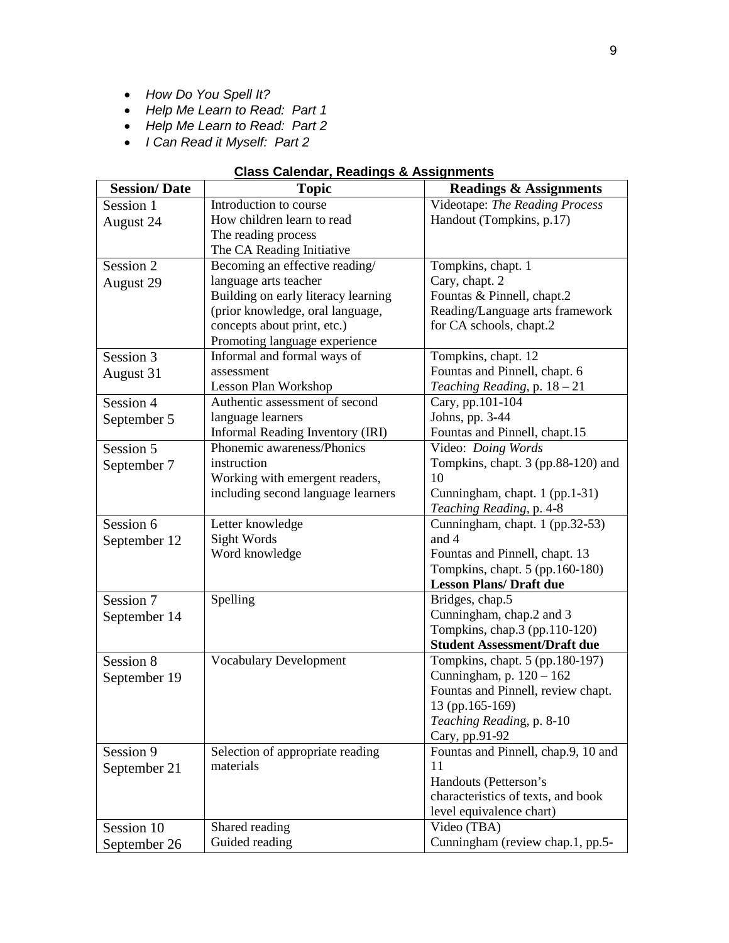- *How Do You Spell It?*
- *Help Me Learn to Read: Part 1*
- *Help Me Learn to Read: Part 2*
- *I Can Read it Myself: Part 2*

# **Class Calendar, Readings & Assignments**

| <b>Session/Date</b> | <b>Topic</b>                        | <b>Readings &amp; Assignments</b>                         |
|---------------------|-------------------------------------|-----------------------------------------------------------|
| Session 1           | Introduction to course              | Videotape: The Reading Process                            |
| August 24           | How children learn to read          | Handout (Tompkins, p.17)                                  |
|                     | The reading process                 |                                                           |
|                     | The CA Reading Initiative           |                                                           |
| Session 2           | Becoming an effective reading/      | Tompkins, chapt. 1                                        |
| August 29           | language arts teacher               | Cary, chapt. 2                                            |
|                     | Building on early literacy learning | Fountas & Pinnell, chapt.2                                |
|                     | (prior knowledge, oral language,    | Reading/Language arts framework                           |
|                     | concepts about print, etc.)         | for CA schools, chapt.2                                   |
|                     | Promoting language experience       |                                                           |
| Session 3           | Informal and formal ways of         | Tompkins, chapt. 12                                       |
| August 31           | assessment                          | Fountas and Pinnell, chapt. 6                             |
|                     | Lesson Plan Workshop                | Teaching Reading, p. 18 - 21                              |
| Session 4           | Authentic assessment of second      | Cary, pp.101-104                                          |
| September 5         | language learners                   | Johns, pp. 3-44                                           |
|                     | Informal Reading Inventory (IRI)    | Fountas and Pinnell, chapt.15                             |
| Session 5           | Phonemic awareness/Phonics          | Video: Doing Words                                        |
| September 7         | instruction                         | Tompkins, chapt. 3 (pp.88-120) and                        |
|                     | Working with emergent readers,      | 10                                                        |
|                     | including second language learners  | Cunningham, chapt. 1 (pp.1-31)                            |
|                     |                                     | Teaching Reading, p. 4-8                                  |
| Session 6           | Letter knowledge                    | Cunningham, chapt. 1 (pp.32-53)                           |
| September 12        | Sight Words                         | and 4                                                     |
|                     | Word knowledge                      | Fountas and Pinnell, chapt. 13                            |
|                     |                                     | Tompkins, chapt. 5 (pp.160-180)                           |
|                     |                                     | <b>Lesson Plans/ Draft due</b>                            |
| Session 7           | Spelling                            | Bridges, chap.5                                           |
| September 14        |                                     | Cunningham, chap.2 and 3<br>Tompkins, chap.3 (pp.110-120) |
|                     |                                     | <b>Student Assessment/Draft due</b>                       |
| Session 8           | <b>Vocabulary Development</b>       | Tompkins, chapt. 5 (pp.180-197)                           |
|                     |                                     | Cunningham, p. 120 - 162                                  |
| September 19        |                                     | Fountas and Pinnell, review chapt.                        |
|                     |                                     | 13 (pp.165-169)                                           |
|                     |                                     | Teaching Reading, p. 8-10                                 |
|                     |                                     | Cary, pp.91-92                                            |
| Session 9           | Selection of appropriate reading    | Fountas and Pinnell, chap.9, 10 and                       |
| September 21        | materials                           | 11                                                        |
|                     |                                     | Handouts (Petterson's                                     |
|                     |                                     | characteristics of texts, and book                        |
|                     |                                     | level equivalence chart)                                  |
| Session 10          | Shared reading                      | Video (TBA)                                               |
| September 26        | Guided reading                      | Cunningham (review chap.1, pp.5-                          |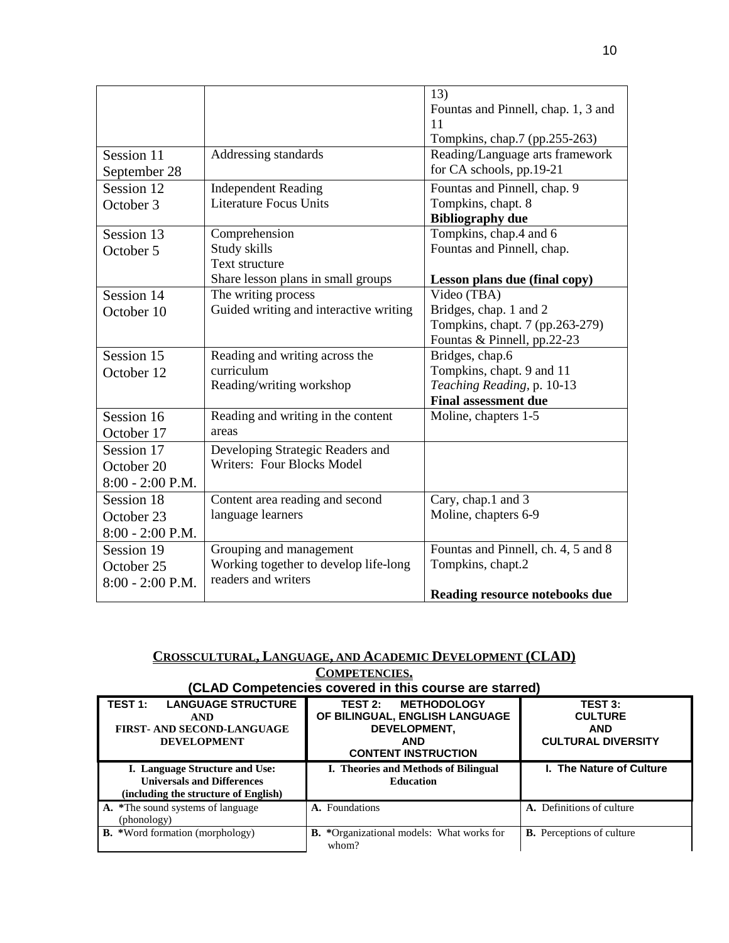|                    |                                        | 13)                                 |
|--------------------|----------------------------------------|-------------------------------------|
|                    |                                        | Fountas and Pinnell, chap. 1, 3 and |
|                    |                                        | 11                                  |
|                    |                                        | Tompkins, chap.7 (pp.255-263)       |
| Session 11         | Addressing standards                   | Reading/Language arts framework     |
| September 28       |                                        | for CA schools, pp.19-21            |
| Session 12         | <b>Independent Reading</b>             | Fountas and Pinnell, chap. 9        |
| October 3          | <b>Literature Focus Units</b>          | Tompkins, chapt. 8                  |
|                    |                                        | <b>Bibliography due</b>             |
| Session 13         | Comprehension                          | Tompkins, chap.4 and 6              |
| October 5          | Study skills                           | Fountas and Pinnell, chap.          |
|                    | Text structure                         |                                     |
|                    | Share lesson plans in small groups     | Lesson plans due (final copy)       |
| Session 14         | The writing process                    | Video (TBA)                         |
| October 10         | Guided writing and interactive writing | Bridges, chap. 1 and 2              |
|                    |                                        | Tompkins, chapt. 7 (pp.263-279)     |
|                    |                                        | Fountas & Pinnell, pp.22-23         |
| Session 15         | Reading and writing across the         | Bridges, chap.6                     |
| October 12         | curriculum                             | Tompkins, chapt. 9 and 11           |
|                    | Reading/writing workshop               | Teaching Reading, p. 10-13          |
|                    |                                        | <b>Final assessment due</b>         |
| Session 16         | Reading and writing in the content     | Moline, chapters 1-5                |
| October 17         | areas                                  |                                     |
| Session 17         | Developing Strategic Readers and       |                                     |
| October 20         | Writers: Four Blocks Model             |                                     |
| $8:00 - 2:00$ P.M. |                                        |                                     |
| Session 18         | Content area reading and second        | Cary, chap.1 and 3                  |
| October 23         | language learners                      | Moline, chapters 6-9                |
| $8:00 - 2:00$ P.M. |                                        |                                     |
| Session 19         | Grouping and management                | Fountas and Pinnell, ch. 4, 5 and 8 |
| October 25         | Working together to develop life-long  | Tompkins, chapt.2                   |
| $8:00 - 2:00$ P.M. | readers and writers                    |                                     |
|                    |                                        | Reading resource notebooks due      |

# **CROSSCULTURAL, LANGUAGE, AND ACADEMIC DEVELOPMENT (CLAD) COMPETENCIES.**

|                                                                                                                          | (CLAD Competencies covered in this course are starred)                                                                      |                                                                             |
|--------------------------------------------------------------------------------------------------------------------------|-----------------------------------------------------------------------------------------------------------------------------|-----------------------------------------------------------------------------|
| TEST <sub>1:</sub><br><b>LANGUAGE STRUCTURE</b><br><b>AND</b><br><b>FIRST- AND SECOND-LANGUAGE</b><br><b>DEVELOPMENT</b> | <b>METHODOLOGY</b><br>TEST 2:<br>OF BILINGUAL, ENGLISH LANGUAGE<br>DEVELOPMENT,<br><b>AND</b><br><b>CONTENT INSTRUCTION</b> | <b>TEST 3:</b><br><b>CULTURE</b><br><b>AND</b><br><b>CULTURAL DIVERSITY</b> |
| I. Language Structure and Use:<br><b>Universals and Differences</b><br>(including the structure of English)              | I. Theories and Methods of Bilingual<br><b>Education</b>                                                                    | I. The Nature of Culture                                                    |
| A. *The sound systems of language<br>(phonology)                                                                         | A. Foundations                                                                                                              | A. Definitions of culture                                                   |
| <b>B.</b> *Word formation (morphology)                                                                                   | <b>B.</b> *Organizational models: What works for<br>whom?                                                                   | <b>B.</b> Perceptions of culture                                            |